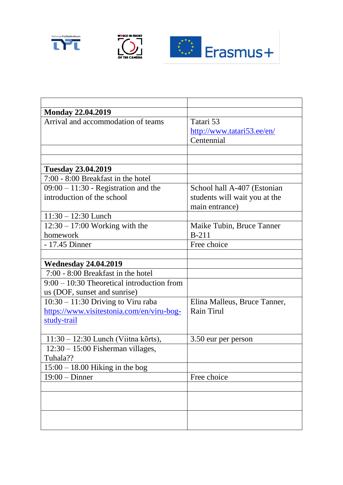





| <b>Monday 22.04.2019</b>                     |                               |
|----------------------------------------------|-------------------------------|
| Arrival and accommodation of teams           | Tatari 53                     |
|                                              | http://www.tatari53.ee/en/    |
|                                              | Centennial                    |
|                                              |                               |
|                                              |                               |
| <b>Tuesday 23.04.2019</b>                    |                               |
| 7:00 - 8:00 Breakfast in the hotel           |                               |
| $09:00 - 11:30$ - Registration and the       | School hall A-407 (Estonian   |
| introduction of the school                   | students will wait you at the |
|                                              | main entrance)                |
| $11:30 - 12:30$ Lunch                        |                               |
| $12:30 - 17:00$ Working with the             | Maike Tubin, Bruce Tanner     |
| homework                                     | $B-211$                       |
| - 17.45 Dinner                               | Free choice                   |
|                                              |                               |
| <b>Wednesday 24.04.2019</b>                  |                               |
| 7:00 - 8:00 Breakfast in the hotel           |                               |
| $9:00 - 10:30$ Theoretical introduction from |                               |
| us (DOF, sunset and sunrise)                 |                               |
| $10:30 - 11:30$ Driving to Viru raba         | Elina Malleus, Bruce Tanner,  |
| https://www.visitestonia.com/en/viru-bog-    | Rain Tirul                    |
| study-trail                                  |                               |
|                                              |                               |
| $11:30 - 12:30$ Lunch (Viitna kõrts),        | 3.50 eur per person           |
| $12:30 - 15:00$ Fisherman villages,          |                               |
| Tuhala??                                     |                               |
| $15:00 - 18.00$ Hiking in the bog            |                               |
| $19:00 - Dinner$                             | Free choice                   |
|                                              |                               |
|                                              |                               |
|                                              |                               |
|                                              |                               |
|                                              |                               |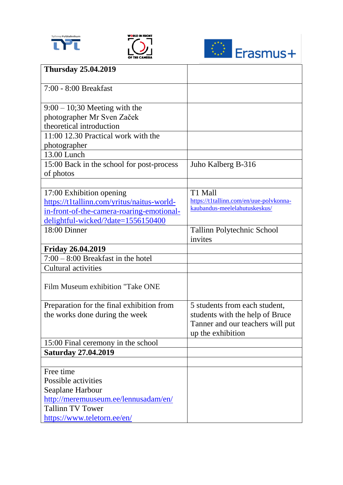





| <b>Thursday 25.04.2019</b>                 |                                                                          |
|--------------------------------------------|--------------------------------------------------------------------------|
| 7:00 - 8:00 Breakfast                      |                                                                          |
|                                            |                                                                          |
| $9:00 - 10:30$ Meeting with the            |                                                                          |
| photographer Mr Sven Začek                 |                                                                          |
| theoretical introduction                   |                                                                          |
| 11:00 12.30 Practical work with the        |                                                                          |
| photographer                               |                                                                          |
| 13.00 Lunch                                |                                                                          |
| 15:00 Back in the school for post-process  | Juho Kalberg B-316                                                       |
| of photos                                  |                                                                          |
|                                            |                                                                          |
| 17:00 Exhibition opening                   | T1 Mall                                                                  |
| https://t1tallinn.com/yritus/naitus-world- | https://t1tallinn.com/en/uue-polvkonna-<br>kaubandus-meelelahutuskeskus/ |
| in-front-of-the-camera-roaring-emotional-  |                                                                          |
| delightful-wicked/?date=1556150400         |                                                                          |
| 18:00 Dinner                               | Tallinn Polytechnic School<br>invites                                    |
| <b>Friday 26.04.2019</b>                   |                                                                          |
| $7:00 - 8:00$ Breakfast in the hotel       |                                                                          |
| Cultural activities                        |                                                                          |
|                                            |                                                                          |
| Film Museum exhibition "Take ONE           |                                                                          |
| Preparation for the final exhibition from  | 5 students from each student,                                            |
| the works done during the week             | students with the help of Bruce                                          |
|                                            | Tanner and our teachers will put                                         |
|                                            | up the exhibition                                                        |
| 15:00 Final ceremony in the school         |                                                                          |
| <b>Saturday 27.04.2019</b>                 |                                                                          |
|                                            |                                                                          |
| Free time                                  |                                                                          |
| Possible activities                        |                                                                          |
| Seaplane Harbour                           |                                                                          |
| http://meremuuseum.ee/lennusadam/en/       |                                                                          |
| <b>Tallinn TV Tower</b>                    |                                                                          |
| https://www.teletorn.ee/en/                |                                                                          |